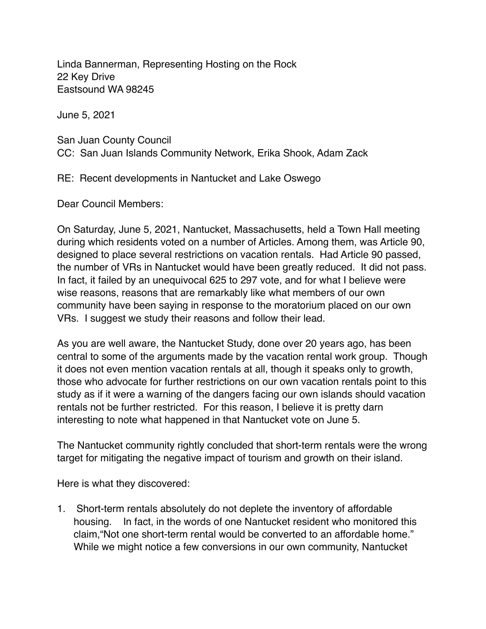Linda Bannerman, Representing Hosting on the Rock 22 Key Drive Eastsound WA 98245

June 5, 2021

San Juan County Council CC: San Juan Islands Community Network, Erika Shook, Adam Zack

RE: Recent developments in Nantucket and Lake Oswego

Dear Council Members:

On Saturday, June 5, 2021, Nantucket, Massachusetts, held a Town Hall meeting during which residents voted on a number of Articles. Among them, was Article 90, designed to place several restrictions on vacation rentals. Had Article 90 passed, the number of VRs in Nantucket would have been greatly reduced. It did not pass. In fact, it failed by an unequivocal 625 to 297 vote, and for what I believe were wise reasons, reasons that are remarkably like what members of our own community have been saying in response to the moratorium placed on our own VRs. I suggest we study their reasons and follow their lead.

As you are well aware, the Nantucket Study, done over 20 years ago, has been central to some of the arguments made by the vacation rental work group. Though it does not even mention vacation rentals at all, though it speaks only to growth, those who advocate for further restrictions on our own vacation rentals point to this study as if it were a warning of the dangers facing our own islands should vacation rentals not be further restricted. For this reason, I believe it is pretty darn interesting to note what happened in that Nantucket vote on June 5.

The Nantucket community rightly concluded that short-term rentals were the wrong target for mitigating the negative impact of tourism and growth on their island.

Here is what they discovered:

1. Short-term rentals absolutely do not deplete the inventory of affordable housing. In fact, in the words of one Nantucket resident who monitored this claim,"Not one short-term rental would be converted to an affordable home." While we might notice a few conversions in our own community, Nantucket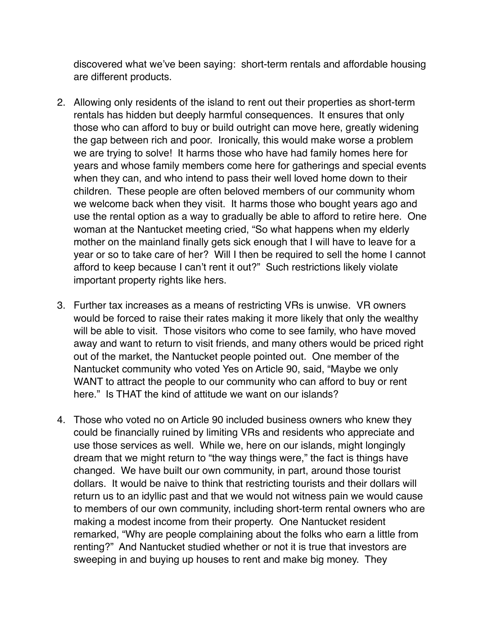discovered what we've been saying: short-term rentals and affordable housing are different products.

- 2. Allowing only residents of the island to rent out their properties as short-term rentals has hidden but deeply harmful consequences. It ensures that only those who can afford to buy or build outright can move here, greatly widening the gap between rich and poor. Ironically, this would make worse a problem we are trying to solve! It harms those who have had family homes here for years and whose family members come here for gatherings and special events when they can, and who intend to pass their well loved home down to their children. These people are often beloved members of our community whom we welcome back when they visit. It harms those who bought years ago and use the rental option as a way to gradually be able to afford to retire here. One woman at the Nantucket meeting cried, "So what happens when my elderly mother on the mainland finally gets sick enough that I will have to leave for a year or so to take care of her? Will I then be required to sell the home I cannot afford to keep because I can't rent it out?" Such restrictions likely violate important property rights like hers.
- 3. Further tax increases as a means of restricting VRs is unwise. VR owners would be forced to raise their rates making it more likely that only the wealthy will be able to visit. Those visitors who come to see family, who have moved away and want to return to visit friends, and many others would be priced right out of the market, the Nantucket people pointed out. One member of the Nantucket community who voted Yes on Article 90, said, "Maybe we only WANT to attract the people to our community who can afford to buy or rent here." Is THAT the kind of attitude we want on our islands?
- 4. Those who voted no on Article 90 included business owners who knew they could be financially ruined by limiting VRs and residents who appreciate and use those services as well. While we, here on our islands, might longingly dream that we might return to "the way things were," the fact is things have changed. We have built our own community, in part, around those tourist dollars. It would be naive to think that restricting tourists and their dollars will return us to an idyllic past and that we would not witness pain we would cause to members of our own community, including short-term rental owners who are making a modest income from their property. One Nantucket resident remarked, "Why are people complaining about the folks who earn a little from renting?" And Nantucket studied whether or not it is true that investors are sweeping in and buying up houses to rent and make big money. They